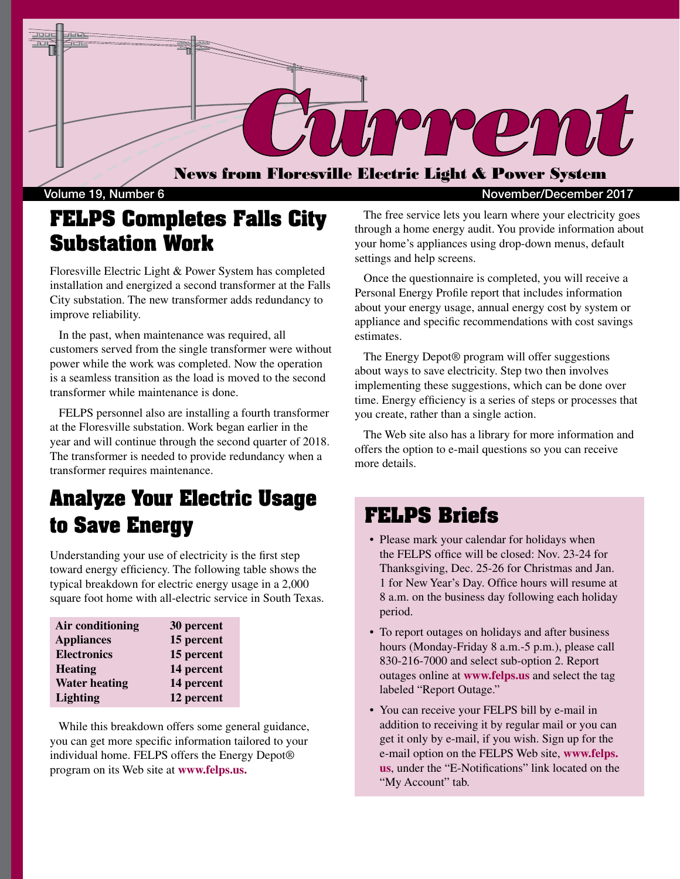

### **FELPS Completes Falls City Substation Work**

Floresville Electric Light & Power System has completed installation and energized a second transformer at the Falls City substation. The new transformer adds redundancy to improve reliability.

 In the past, when maintenance was required, all customers served from the single transformer were without power while the work was completed. Now the operation is a seamless transition as the load is moved to the second transformer while maintenance is done.

 FELPS personnel also are installing a fourth transformer at the Floresville substation. Work began earlier in the year and will continue through the second quarter of 2018. The transformer is needed to provide redundancy when a transformer requires maintenance.

## **Analyze Your Electric Usage to Save Energy**

Understanding your use of electricity is the first step toward energy efficiency. The following table shows the typical breakdown for electric energy usage in a 2,000 square foot home with all-electric service in South Texas.

| Air conditioning     | 30 percent |
|----------------------|------------|
| <b>Appliances</b>    | 15 percent |
| <b>Electronics</b>   | 15 percent |
| <b>Heating</b>       | 14 percent |
| <b>Water heating</b> | 14 percent |
| <b>Lighting</b>      | 12 percent |

 While this breakdown offers some general guidance, you can get more specific information tailored to your individual home. FELPS offers the Energy Depot® program on its Web site at **www.felps.us.**

Volume 19, Number 6 November/December 2017

 The free service lets you learn where your electricity goes through a home energy audit. You provide information about your home's appliances using drop-down menus, default settings and help screens.

 Once the questionnaire is completed, you will receive a Personal Energy Profile report that includes information about your energy usage, annual energy cost by system or appliance and specific recommendations with cost savings estimates.

 The Energy Depot® program will offer suggestions about ways to save electricity. Step two then involves implementing these suggestions, which can be done over time. Energy efficiency is a series of steps or processes that you create, rather than a single action.

 The Web site also has a library for more information and offers the option to e-mail questions so you can receive more details.

#### **FELPS Briefs**

- Please mark your calendar for holidays when the FELPS office will be closed: Nov. 23-24 for Thanksgiving, Dec. 25-26 for Christmas and Jan. 1 for New Year's Day. Office hours will resume at 8 a.m. on the business day following each holiday period.
- To report outages on holidays and after business hours (Monday-Friday 8 a.m.-5 p.m.), please call 830-216-7000 and select sub-option 2. Report outages online at **www.felps.us** and select the tag labeled "Report Outage."
- You can receive your FELPS bill by e-mail in addition to receiving it by regular mail or you can get it only by e-mail, if you wish. Sign up for the e-mail option on the FELPS Web site, **www.felps. us**, under the "E-Notifications" link located on the "My Account" tab.